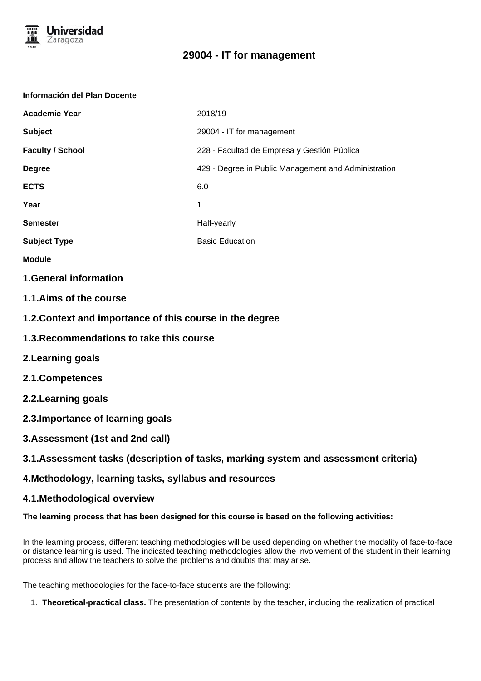

## **29004 - IT for management**

#### **Información del Plan Docente**

| <b>Academic Year</b>    | 2018/19                                              |
|-------------------------|------------------------------------------------------|
| <b>Subject</b>          | 29004 - IT for management                            |
| <b>Faculty / School</b> | 228 - Facultad de Empresa y Gestión Pública          |
| <b>Degree</b>           | 429 - Degree in Public Management and Administration |
| <b>ECTS</b>             | 6.0                                                  |
| Year                    | 1                                                    |
| <b>Semester</b>         | Half-yearly                                          |
| <b>Subject Type</b>     | <b>Basic Education</b>                               |
|                         |                                                      |

- **Module**
- **1.General information**
- **1.1.Aims of the course**
- **1.2.Context and importance of this course in the degree**
- **1.3.Recommendations to take this course**
- **2.Learning goals**
- **2.1.Competences**
- **2.2.Learning goals**
- **2.3.Importance of learning goals**
- **3.Assessment (1st and 2nd call)**

### **3.1.Assessment tasks (description of tasks, marking system and assessment criteria)**

#### **4.Methodology, learning tasks, syllabus and resources**

#### **4.1.Methodological overview**

#### **The learning process that has been designed for this course is based on the following activities:**

In the learning process, different teaching methodologies will be used depending on whether the modality of face-to-face or distance learning is used. The indicated teaching methodologies allow the involvement of the student in their learning process and allow the teachers to solve the problems and doubts that may arise.

The teaching methodologies for the face-to-face students are the following:

1. **Theoretical-practical class.** The presentation of contents by the teacher, including the realization of practical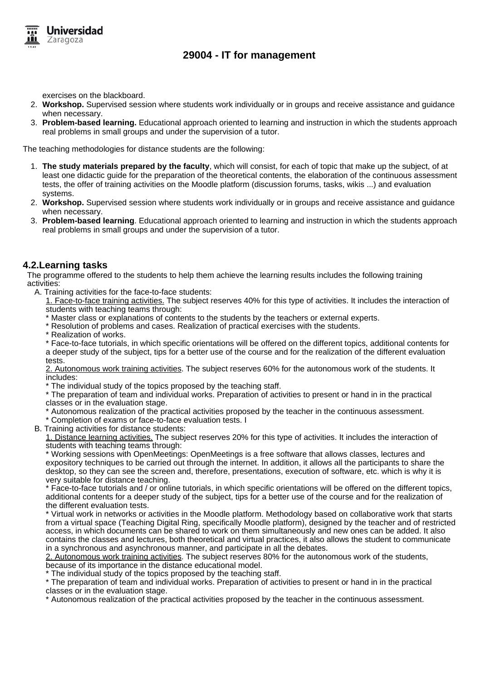

exercises on the blackboard.

Iniversidad Zaragoza

- 2. **Workshop.** Supervised session where students work individually or in groups and receive assistance and guidance when necessary.
- 3. **Problem-based learning.** Educational approach oriented to learning and instruction in which the students approach real problems in small groups and under the supervision of a tutor.

The teaching methodologies for distance students are the following:

- 1. **The study materials prepared by the faculty**, which will consist, for each of topic that make up the subject, of at least one didactic guide for the preparation of the theoretical contents, the elaboration of the continuous assessment tests, the offer of training activities on the Moodle platform (discussion forums, tasks, wikis ...) and evaluation systems.
- 2. **Workshop.** Supervised session where students work individually or in groups and receive assistance and guidance when necessary.
- 3. **Problem-based learning**. Educational approach oriented to learning and instruction in which the students approach real problems in small groups and under the supervision of a tutor.

#### **4.2.Learning tasks**

The programme offered to the students to help them achieve the learning results includes the following training activities:

- A. Training activities for the face-to-face students:
	- 1. Face-to-face training activities. The subject reserves 40% for this type of activities. It includes the interaction of students with teaching teams through:
	- Master class or explanations of contents to the students by the teachers or external experts.
	- \* Resolution of problems and cases. Realization of practical exercises with the students.
	- \* Realization of works.

\* Face-to-face tutorials, in which specific orientations will be offered on the different topics, additional contents for a deeper study of the subject, tips for a better use of the course and for the realization of the different evaluation tests.

2. Autonomous work training activities. The subject reserves 60% for the autonomous work of the students. It includes:

The individual study of the topics proposed by the teaching staff.

\* The preparation of team and individual works. Preparation of activities to present or hand in in the practical classes or in the evaluation stage.

- Autonomous realization of the practical activities proposed by the teacher in the continuous assessment.
- \* Completion of exams or face-to-face evaluation tests. I
- B. Training activities for distance students:

1. Distance learning activities. The subject reserves 20% for this type of activities. It includes the interaction of students with teaching teams through:

\* Working sessions with OpenMeetings: OpenMeetings is a free software that allows classes, lectures and expository techniques to be carried out through the internet. In addition, it allows all the participants to share the desktop, so they can see the screen and, therefore, presentations, execution of software, etc. which is why it is very suitable for distance teaching.

\* Face-to-face tutorials and / or online tutorials, in which specific orientations will be offered on the different topics, additional contents for a deeper study of the subject, tips for a better use of the course and for the realization of the different evaluation tests.

\* Virtual work in networks or activities in the Moodle platform. Methodology based on collaborative work that starts from a virtual space (Teaching Digital Ring, specifically Moodle platform), designed by the teacher and of restricted access, in which documents can be shared to work on them simultaneously and new ones can be added. It also contains the classes and lectures, both theoretical and virtual practices, it also allows the student to communicate in a synchronous and asynchronous manner, and participate in all the debates.

2. Autonomous work training activities. The subject reserves 80% for the autonomous work of the students, because of its importance in the distance educational model.

\* The individual study of the topics proposed by the teaching staff.

\* The preparation of team and individual works. Preparation of activities to present or hand in in the practical classes or in the evaluation stage.

\* Autonomous realization of the practical activities proposed by the teacher in the continuous assessment.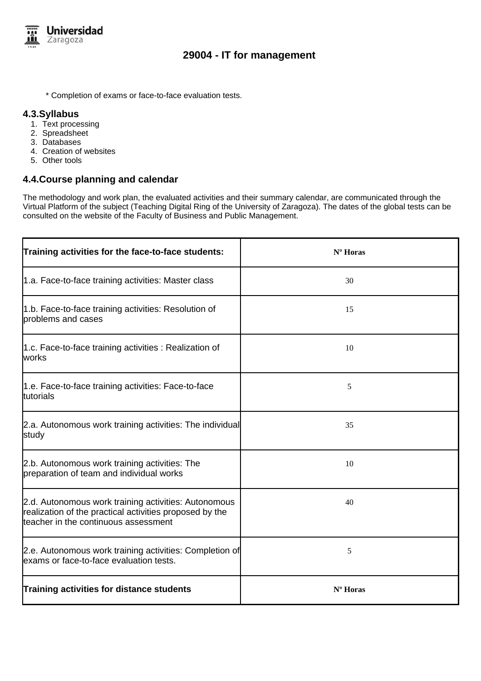

## **29004 - IT for management**

\* Completion of exams or face-to-face evaluation tests.

#### **4.3.Syllabus**

- 1. Text processing
- 2. Spreadsheet
- 3. Databases
- 4. Creation of websites
- 5. Other tools

#### **4.4.Course planning and calendar**

The methodology and work plan, the evaluated activities and their summary calendar, are communicated through the Virtual Platform of the subject (Teaching Digital Ring of the University of Zaragoza). The dates of the global tests can be consulted on the website of the Faculty of Business and Public Management.

| Training activities for the face-to-face students:                                                                                                      | Nº Horas |
|---------------------------------------------------------------------------------------------------------------------------------------------------------|----------|
| 1.a. Face-to-face training activities: Master class                                                                                                     | 30       |
| 1.b. Face-to-face training activities: Resolution of<br>problems and cases                                                                              | 15       |
| 1.c. Face-to-face training activities : Realization of<br>works                                                                                         | 10       |
| 1.e. Face-to-face training activities: Face-to-face<br>tutorials                                                                                        | 5        |
| 2.a. Autonomous work training activities: The individual<br>study                                                                                       | 35       |
| 2.b. Autonomous work training activities: The<br>preparation of team and individual works                                                               | 10       |
| 2.d. Autonomous work training activities: Autonomous<br>realization of the practical activities proposed by the<br>teacher in the continuous assessment | 40       |
| 2.e. Autonomous work training activities: Completion of<br>exams or face-to-face evaluation tests.                                                      | 5        |
| Training activities for distance students                                                                                                               | Nº Horas |